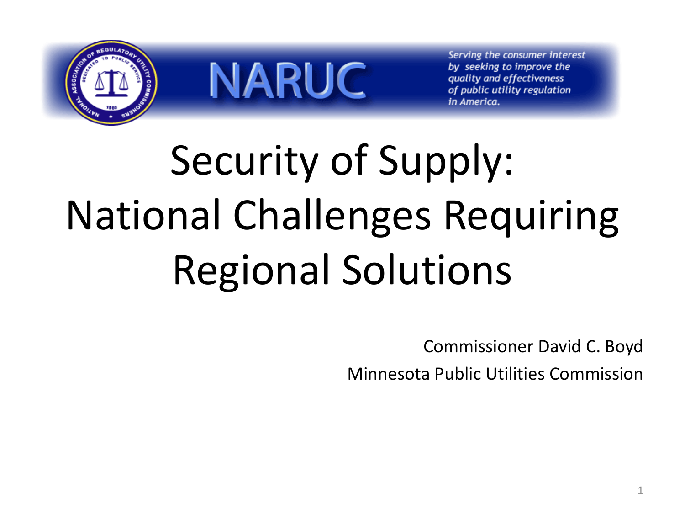

**NARUC** 

Serving the consumer interest by seeking to improve the quality and effectiveness of public utility regulation in America.

# Security of Supply: National Challenges Requiring Regional Solutions

Commissioner David C. Boyd Minnesota Public Utilities Commission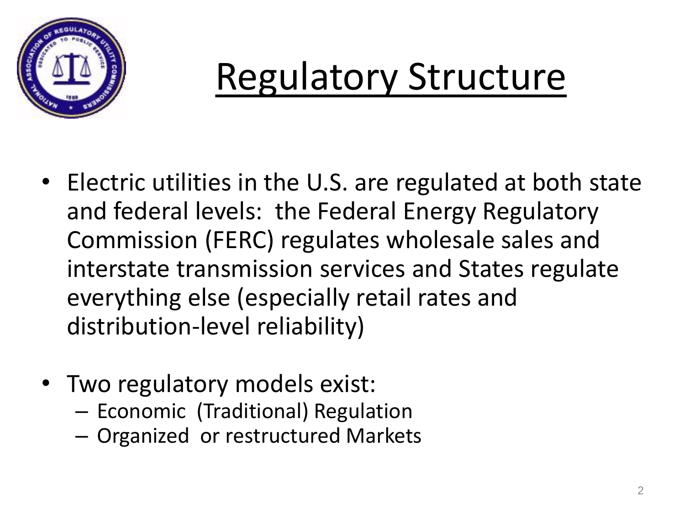

# Regulatory Structure

- Electric utilities in the U.S. are regulated at both state and federal levels: the Federal Energy Regulatory Commission (FERC) regulates wholesale sales and interstate transmission services and States regulate everything else (especially retail rates and distribution-level reliability)
- Two regulatory models exist:
	- Economic (Traditional) Regulation
	- Organized or restructured Markets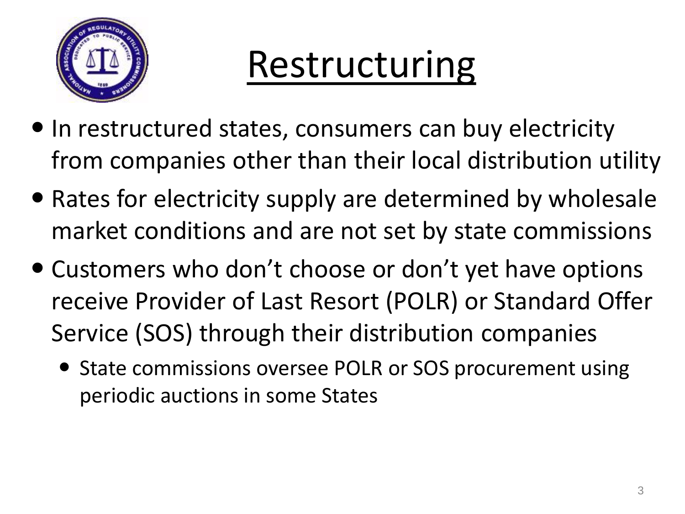

# Restructuring

- In restructured states, consumers can buy electricity from companies other than their local distribution utility
- Rates for electricity supply are determined by wholesale market conditions and are not set by state commissions
- Customers who don't choose or don't yet have options receive Provider of Last Resort (POLR) or Standard Offer Service (SOS) through their distribution companies
	- State commissions oversee POLR or SOS procurement using periodic auctions in some States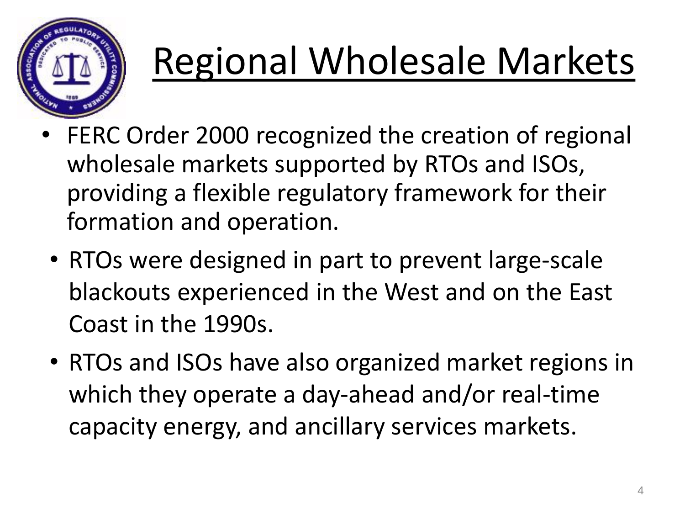

# Regional Wholesale Markets

- FERC Order 2000 recognized the creation of regional wholesale markets supported by RTOs and ISOs, providing a flexible regulatory framework for their formation and operation.
- RTOs were designed in part to prevent large-scale blackouts experienced in the West and on the East Coast in the 1990s.
- RTOs and ISOs have also organized market regions in which they operate a day-ahead and/or real-time capacity energy, and ancillary services markets.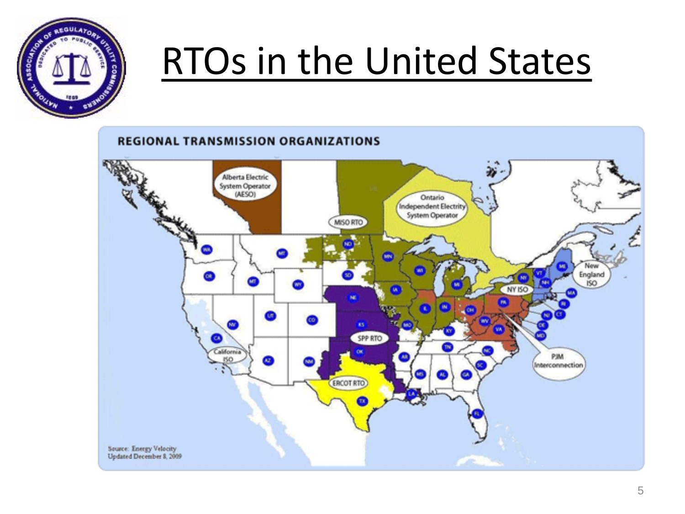

# RTOs in the United States

#### **REGIONAL TRANSMISSION ORGANIZATIONS Alberta Electric** System Operator (AESO) Ontario œ **Independent Electrity** System Operator MISO RTO W. New England **OR** ISO. NY ISO BC. **SPP RTO** CB. California PJM **NO**  $\omega$ Interconnection (ERCOT RTO) m) Source: Energy Velocity<br>Updated December 8, 2009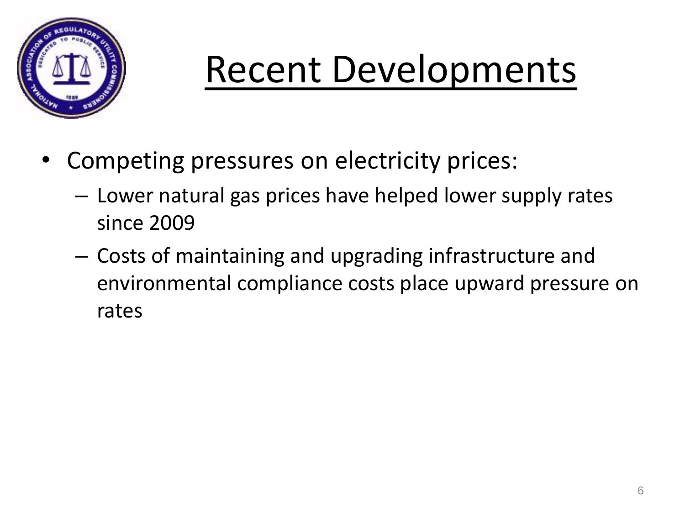

# Recent Developments

- Competing pressures on electricity prices:
	- Lower natural gas prices have helped lower supply rates since 2009
	- Costs of maintaining and upgrading infrastructure and environmental compliance costs place upward pressure on rates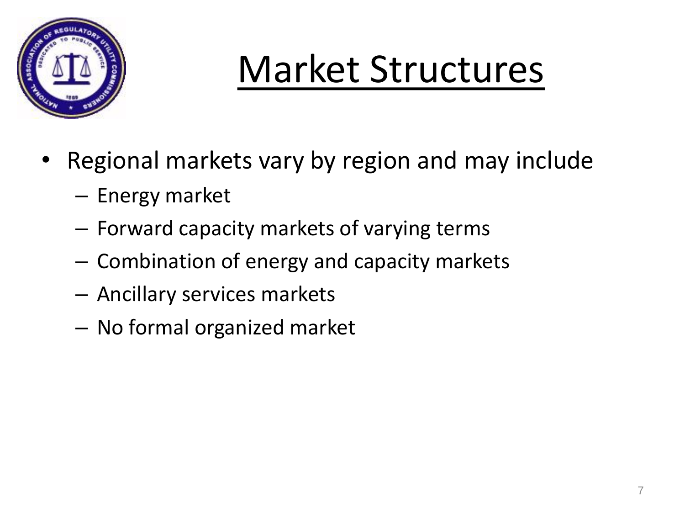

# Market Structures

- Regional markets vary by region and may include
	- Energy market
	- Forward capacity markets of varying terms
	- Combination of energy and capacity markets
	- Ancillary services markets
	- No formal organized market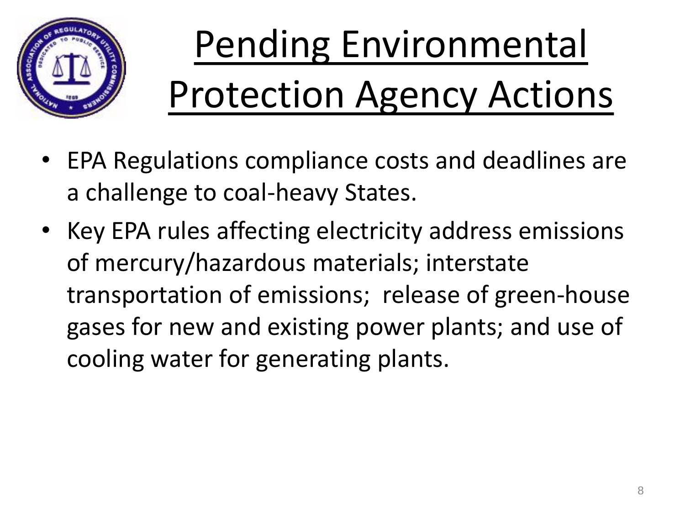

# Pending Environmental Protection Agency Actions

- EPA Regulations compliance costs and deadlines are a challenge to coal-heavy States.
- Key EPA rules affecting electricity address emissions of mercury/hazardous materials; interstate transportation of emissions; release of green-house gases for new and existing power plants; and use of cooling water for generating plants.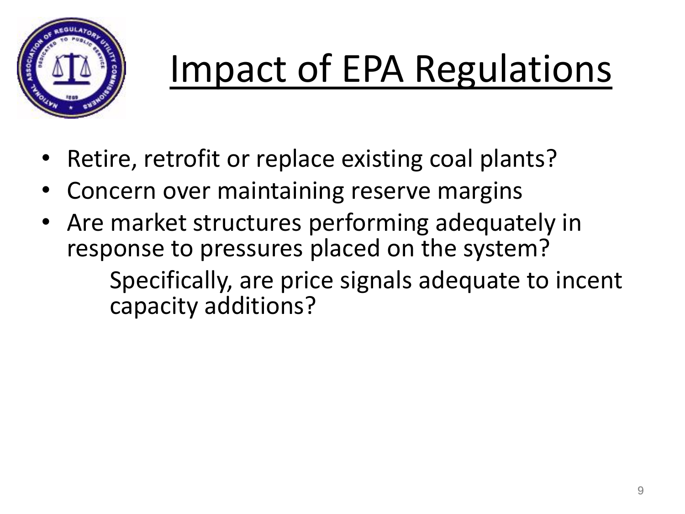

# Impact of EPA Regulations

- Retire, retrofit or replace existing coal plants?
- Concern over maintaining reserve margins
- Are market structures performing adequately in response to pressures placed on the system? Specifically, are price signals adequate to incent capacity additions?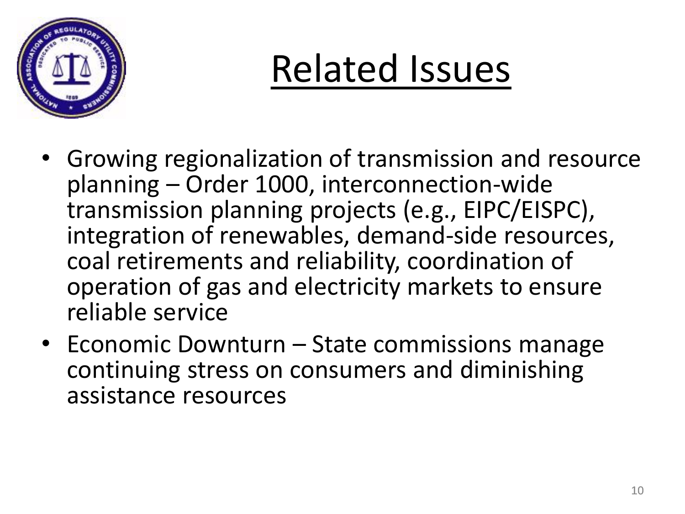

# Related Issues

- Growing regionalization of transmission and resource planning – Order 1000, interconnection-wide transmission planning projects (e.g., EIPC/EISPC), integration of renewables, demand-side resources, coal retirements and reliability, coordination of operation of gas and electricity markets to ensure reliable service
- Economic Downturn State commissions manage continuing stress on consumers and diminishing assistance resources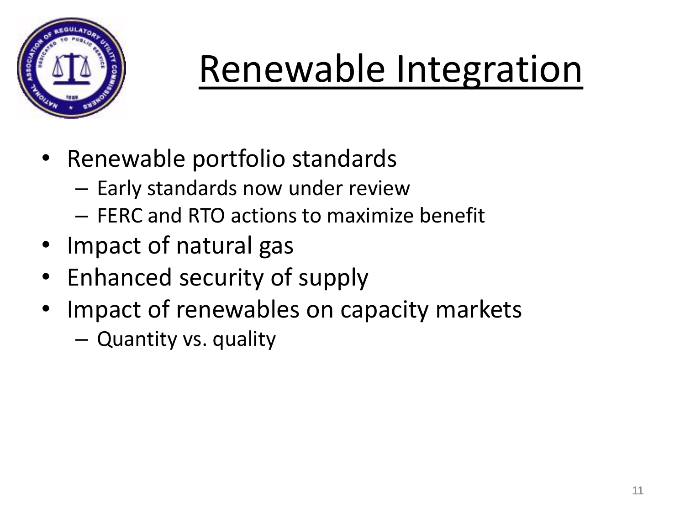

# Renewable Integration

- Renewable portfolio standards
	- Early standards now under review
	- FERC and RTO actions to maximize benefit
- Impact of natural gas
- Enhanced security of supply
- Impact of renewables on capacity markets
	- Quantity vs. quality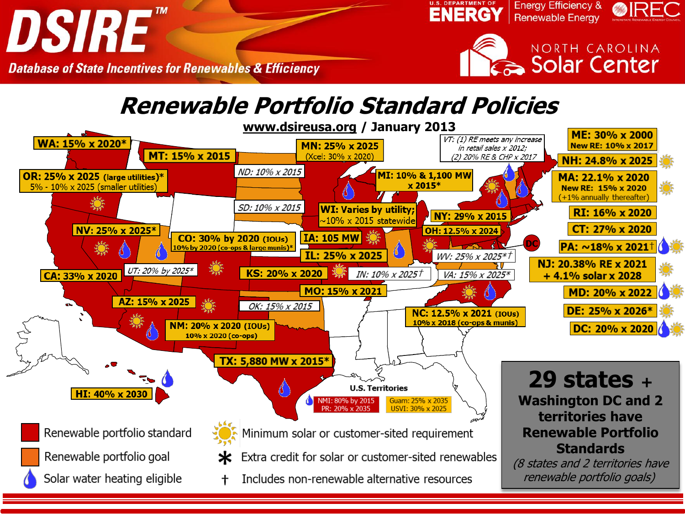

**Database of State Incentives for Renewables & Efficiency** 

#### **Renewable Portfolio Standard Policies..**